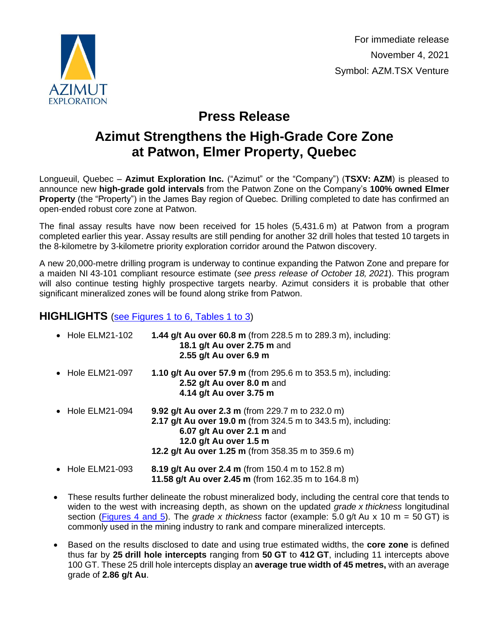

For immediate release November 4, 2021 Symbol: AZM.TSX Venture

# **Press Release**

# **Azimut Strengthens the High-Grade Core Zone at Patwon, Elmer Property, Quebec**

Longueuil, Quebec – **Azimut Exploration Inc.** ("Azimut" or the "Company") (**TSXV: AZM**) is pleased to announce new **high-grade gold intervals** from the Patwon Zone on the Company's **100% owned Elmer Property** (the "Property") in the James Bay region of Quebec. Drilling completed to date has confirmed an open-ended robust core zone at Patwon.

The final assay results have now been received for 15 holes (5,431.6 m) at Patwon from a program completed earlier this year. Assay results are still pending for another 32 drill holes that tested 10 targets in the 8-kilometre by 3-kilometre priority exploration corridor around the Patwon discovery.

A new 20,000-metre drilling program is underway to continue expanding the Patwon Zone and prepare for a maiden NI 43-101 compliant resource estimate (*see press release of October 18, 2021*). This program will also continue testing highly prospective targets nearby. Azimut considers it is probable that other significant mineralized zones will be found along strike from Patwon.

## **HIGHLIGHTS** [\(see Figures 1 to 6, Tables 1 to 3\)](http://www.azimut-exploration.com/en/presentations/PR20211104_Fig1-6_Tables1-3-p.pdf)

| • Hole ELM21-102         | 1.44 g/t Au over 60.8 m (from 228.5 m to 289.3 m), including:<br>18.1 g/t Au over 2.75 m and<br>2.55 g/t Au over 6.9 m                                                                                                                 |
|--------------------------|----------------------------------------------------------------------------------------------------------------------------------------------------------------------------------------------------------------------------------------|
| • Hole ELM21-097         | <b>1.10 g/t Au over 57.9 m</b> (from 295.6 m to 353.5 m), including:<br>2.52 g/t Au over 8.0 m and<br>4.14 g/t Au over 3.75 m                                                                                                          |
| $\bullet$ Hole ELM21-094 | 9.92 g/t Au over 2.3 m (from 229.7 m to 232.0 m)<br><b>2.17 g/t Au over 19.0 m</b> (from 324.5 m to 343.5 m), including:<br>6.07 g/t Au over 2.1 m and<br>12.0 g/t Au over 1.5 m<br>12.2 g/t Au over 1.25 m (from 358.35 m to 359.6 m) |
| • Hole ELM21-093         | 8.19 g/t Au over 2.4 m (from 150.4 m to 152.8 m)<br>11.58 g/t Au over 2.45 m (from 162.35 m to 164.8 m)                                                                                                                                |

- These results further delineate the robust mineralized body, including the central core that tends to widen to the west with increasing depth, as shown on the updated *grade x thickness* longitudinal section (Figures [4 and 5\)](http://www.azimut-exploration.com/en/presentations/PR20211104_Fig4-5-p.pdf). The *grade x thickness* factor (example: 5.0 g/t Au x 10 m = 50 GT) is commonly used in the mining industry to rank and compare mineralized intercepts.
- Based on the results disclosed to date and using true estimated widths, the **core zone** is defined thus far by **25 drill hole intercepts** ranging from **50 GT** to **412 GT**, including 11 intercepts above 100 GT. These 25 drill hole intercepts display an **average true width of 45 metres,** with an average grade of **2.86 g/t Au**.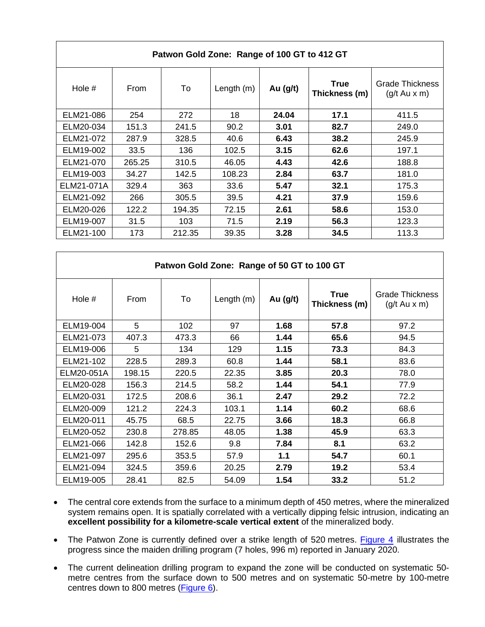| Patwon Gold Zone: Range of 100 GT to 412 GT |        |        |              |            |                              |                                                  |  |  |  |
|---------------------------------------------|--------|--------|--------------|------------|------------------------------|--------------------------------------------------|--|--|--|
| Hole $#$                                    | From   | To     | Length $(m)$ | Au $(g/t)$ | <b>True</b><br>Thickness (m) | <b>Grade Thickness</b><br>$(g/t \, Au \times m)$ |  |  |  |
| ELM21-086                                   | 254    | 272    | 18           | 24.04      | 17.1                         | 411.5                                            |  |  |  |
| ELM20-034                                   | 151.3  | 241.5  | 90.2         | 3.01       | 82.7                         | 249.0                                            |  |  |  |
| ELM21-072                                   | 287.9  | 328.5  | 40.6         | 6.43       | 38.2                         | 245.9                                            |  |  |  |
| ELM19-002                                   | 33.5   | 136    | 102.5        | 3.15       | 62.6                         | 197.1                                            |  |  |  |
| ELM21-070                                   | 265.25 | 310.5  | 46.05        | 4.43       | 42.6                         | 188.8                                            |  |  |  |
| ELM19-003                                   | 34.27  | 142.5  | 108.23       | 2.84       | 63.7                         | 181.0                                            |  |  |  |
| ELM21-071A                                  | 329.4  | 363    | 33.6         | 5.47       | 32.1                         | 175.3                                            |  |  |  |
| ELM21-092                                   | 266    | 305.5  | 39.5         | 4.21       | 37.9                         | 159.6                                            |  |  |  |
| ELM20-026                                   | 122.2  | 194.35 | 72.15        | 2.61       | 58.6                         | 153.0                                            |  |  |  |
| ELM19-007                                   | 31.5   | 103    | 71.5         | 2.19       | 56.3                         | 123.3                                            |  |  |  |
| ELM21-100                                   | 173    | 212.35 | 39.35        | 3.28       | 34.5                         | 113.3                                            |  |  |  |

| Patwon Gold Zone: Range of 50 GT to 100 GT |        |        |              |          |                              |                                                  |  |  |
|--------------------------------------------|--------|--------|--------------|----------|------------------------------|--------------------------------------------------|--|--|
| Hole #                                     | From   | To     | Length $(m)$ | Au (g/t) | <b>True</b><br>Thickness (m) | <b>Grade Thickness</b><br>$(g/t \, Au \times m)$ |  |  |
| ELM19-004                                  | 5      | 102    | 97           | 1.68     | 57.8                         | 97.2                                             |  |  |
| ELM21-073                                  | 407.3  | 473.3  | 66           | 1.44     | 65.6                         | 94.5                                             |  |  |
| ELM19-006                                  | 5      | 134    | 129          | 1.15     | 73.3                         | 84.3                                             |  |  |
| ELM21-102                                  | 228.5  | 289.3  | 60.8         | 1.44     | 58.1                         | 83.6                                             |  |  |
| ELM20-051A                                 | 198.15 | 220.5  | 22.35        | 3.85     | 20.3                         | 78.0                                             |  |  |
| ELM20-028                                  | 156.3  | 214.5  | 58.2         | 1.44     | 54.1                         | 77.9                                             |  |  |
| ELM20-031                                  | 172.5  | 208.6  | 36.1         | 2.47     | 29.2                         | 72.2                                             |  |  |
| ELM20-009                                  | 121.2  | 224.3  | 103.1        | 1.14     | 60.2                         | 68.6                                             |  |  |
| ELM20-011                                  | 45.75  | 68.5   | 22.75        | 3.66     | 18.3                         | 66.8                                             |  |  |
| ELM20-052                                  | 230.8  | 278.85 | 48.05        | 1.38     | 45.9                         | 63.3                                             |  |  |
| ELM21-066                                  | 142.8  | 152.6  | 9.8          | 7.84     | 8.1                          | 63.2                                             |  |  |
| ELM21-097                                  | 295.6  | 353.5  | 57.9         | 1.1      | 54.7                         | 60.1                                             |  |  |
| ELM21-094                                  | 324.5  | 359.6  | 20.25        | 2.79     | 19.2                         | 53.4                                             |  |  |
| ELM19-005                                  | 28.41  | 82.5   | 54.09        | 1.54     | 33.2                         | 51.2                                             |  |  |

- The central core extends from the surface to a minimum depth of 450 metres, where the mineralized system remains open. It is spatially correlated with a vertically dipping felsic intrusion, indicating an **excellent possibility for a kilometre-scale vertical extent** of the mineralized body.
- The Patwon Zone is currently defined over a strike length of 520 metres. [Figure 4](http://www.azimut-exploration.com/en/presentations/PR20211104_Fig4-p.pdf) illustrates the progress since the maiden drilling program (7 holes, 996 m) reported in January 2020.
- The current delineation drilling program to expand the zone will be conducted on systematic 50 metre centres from the surface down to 500 metres and on systematic 50-metre by 100-metre centres down to 800 metres [\(Figure 6\)](http://www.azimut-exploration.com/en/presentations/PR20211104_Fig6-p.pdf).